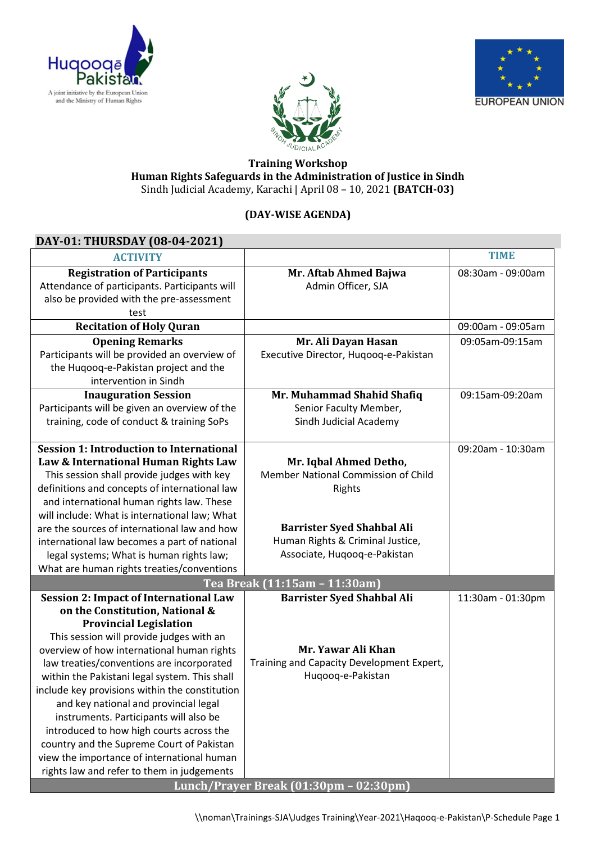





#### **Training Workshop Human Rights Safeguards in the Administration of Justice in Sindh** Sindh Judicial Academy, Karachi | April 08 – 10, 2021 **(BATCH-03)**

## **(DAY-WISE AGENDA)**

## **DAY-01: THURSDAY (08-04-2021)**

| <b>ACTIVITY</b>                                                                  |                                                               | <b>TIME</b>       |
|----------------------------------------------------------------------------------|---------------------------------------------------------------|-------------------|
| <b>Registration of Participants</b>                                              | Mr. Aftab Ahmed Bajwa                                         | 08:30am - 09:00am |
| Attendance of participants. Participants will                                    | Admin Officer, SJA                                            |                   |
| also be provided with the pre-assessment                                         |                                                               |                   |
| test                                                                             |                                                               |                   |
| <b>Recitation of Holy Quran</b>                                                  |                                                               | 09:00am - 09:05am |
| <b>Opening Remarks</b>                                                           | Mr. Ali Dayan Hasan                                           | 09:05am-09:15am   |
| Participants will be provided an overview of                                     | Executive Director, Huqooq-e-Pakistan                         |                   |
| the Huqooq-e-Pakistan project and the                                            |                                                               |                   |
| intervention in Sindh                                                            |                                                               |                   |
| <b>Inauguration Session</b>                                                      | Mr. Muhammad Shahid Shafiq                                    | 09:15am-09:20am   |
| Participants will be given an overview of the                                    | Senior Faculty Member,                                        |                   |
| training, code of conduct & training SoPs                                        | Sindh Judicial Academy                                        |                   |
|                                                                                  |                                                               |                   |
| <b>Session 1: Introduction to International</b>                                  |                                                               | 09:20am - 10:30am |
| Law & International Human Rights Law                                             | Mr. Iqbal Ahmed Detho,<br>Member National Commission of Child |                   |
| This session shall provide judges with key                                       |                                                               |                   |
| definitions and concepts of international law                                    | Rights                                                        |                   |
| and international human rights law. These                                        |                                                               |                   |
| will include: What is international law; What                                    | <b>Barrister Syed Shahbal Ali</b>                             |                   |
| are the sources of international law and how                                     | Human Rights & Criminal Justice,                              |                   |
| international law becomes a part of national                                     | Associate, Huqooq-e-Pakistan                                  |                   |
| legal systems; What is human rights law;                                         |                                                               |                   |
| What are human rights treaties/conventions                                       |                                                               |                   |
|                                                                                  | Tea Break (11:15am - 11:30am)                                 |                   |
| <b>Session 2: Impact of International Law</b><br>on the Constitution, National & | <b>Barrister Syed Shahbal Ali</b>                             | 11:30am - 01:30pm |
| <b>Provincial Legislation</b>                                                    |                                                               |                   |
| This session will provide judges with an                                         |                                                               |                   |
| overview of how international human rights                                       | Mr. Yawar Ali Khan                                            |                   |
| law treaties/conventions are incorporated                                        | Training and Capacity Development Expert,                     |                   |
| within the Pakistani legal system. This shall                                    | Huqooq-e-Pakistan                                             |                   |
| include key provisions within the constitution                                   |                                                               |                   |
| and key national and provincial legal                                            |                                                               |                   |
| instruments. Participants will also be                                           |                                                               |                   |
| introduced to how high courts across the                                         |                                                               |                   |
| country and the Supreme Court of Pakistan                                        |                                                               |                   |
| view the importance of international human                                       |                                                               |                   |
| rights law and refer to them in judgements                                       |                                                               |                   |
|                                                                                  | Lunch/Prayer Break (01:30pm - 02:30pm)                        |                   |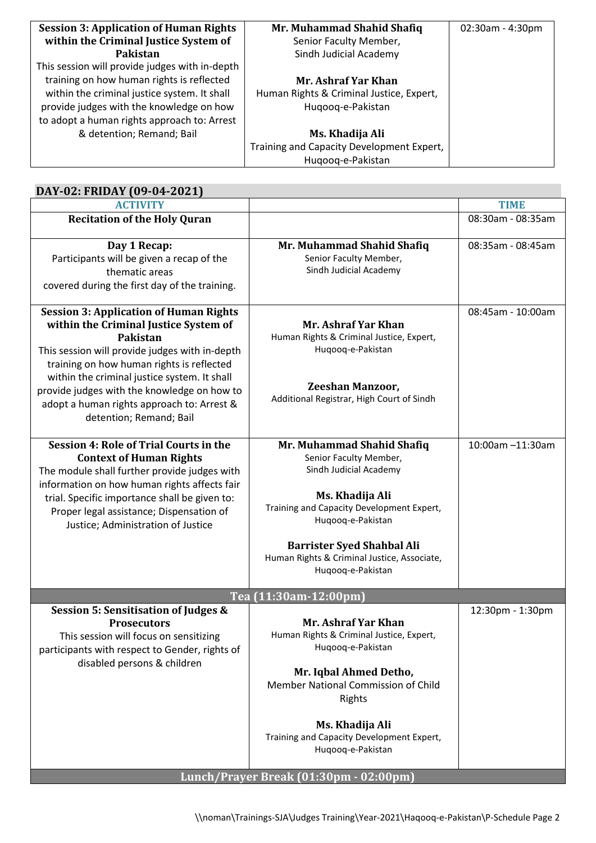| <b>Session 3: Application of Human Rights</b>  | Mr. Muhammad Shahid Shafiq                | $02:30$ am - 4:30pm |
|------------------------------------------------|-------------------------------------------|---------------------|
| within the Criminal Justice System of          | Senior Faculty Member,                    |                     |
| Pakistan                                       | Sindh Judicial Academy                    |                     |
| This session will provide judges with in-depth |                                           |                     |
| training on how human rights is reflected      | Mr. Ashraf Yar Khan                       |                     |
| within the criminal justice system. It shall   | Human Rights & Criminal Justice, Expert,  |                     |
| provide judges with the knowledge on how       | Hugoog-e-Pakistan                         |                     |
| to adopt a human rights approach to: Arrest    |                                           |                     |
| & detention; Remand; Bail                      | Ms. Khadija Ali                           |                     |
|                                                | Training and Capacity Development Expert, |                     |
|                                                | Hugoog-e-Pakistan                         |                     |

| DAY-02: FRIDAY (09-04-2021)                                                                                                                                                                                                                                                                                                                                                      |                                                                                                                                                                                                                                                                              |                   |  |  |  |
|----------------------------------------------------------------------------------------------------------------------------------------------------------------------------------------------------------------------------------------------------------------------------------------------------------------------------------------------------------------------------------|------------------------------------------------------------------------------------------------------------------------------------------------------------------------------------------------------------------------------------------------------------------------------|-------------------|--|--|--|
| <b>ACTIVITY</b>                                                                                                                                                                                                                                                                                                                                                                  |                                                                                                                                                                                                                                                                              | <b>TIME</b>       |  |  |  |
| <b>Recitation of the Holy Quran</b>                                                                                                                                                                                                                                                                                                                                              |                                                                                                                                                                                                                                                                              | 08:30am - 08:35am |  |  |  |
| Day 1 Recap:<br>Participants will be given a recap of the<br>thematic areas<br>covered during the first day of the training.                                                                                                                                                                                                                                                     | Mr. Muhammad Shahid Shafiq<br>Senior Faculty Member,<br>Sindh Judicial Academy                                                                                                                                                                                               | 08:35am - 08:45am |  |  |  |
| <b>Session 3: Application of Human Rights</b><br>within the Criminal Justice System of<br><b>Pakistan</b><br>This session will provide judges with in-depth<br>training on how human rights is reflected<br>within the criminal justice system. It shall<br>provide judges with the knowledge on how to<br>adopt a human rights approach to: Arrest &<br>detention; Remand; Bail | Mr. Ashraf Yar Khan<br>Human Rights & Criminal Justice, Expert,<br>Huqooq-e-Pakistan<br><b>Zeeshan Manzoor,</b><br>Additional Registrar, High Court of Sindh                                                                                                                 | 08:45am - 10:00am |  |  |  |
| <b>Session 4: Role of Trial Courts in the</b><br><b>Context of Human Rights</b><br>The module shall further provide judges with<br>information on how human rights affects fair<br>trial. Specific importance shall be given to:<br>Proper legal assistance; Dispensation of<br>Justice; Administration of Justice                                                               | Mr. Muhammad Shahid Shafiq<br>Senior Faculty Member,<br>Sindh Judicial Academy<br>Ms. Khadija Ali<br>Training and Capacity Development Expert,<br>Huqooq-e-Pakistan<br><b>Barrister Syed Shahbal Ali</b><br>Human Rights & Criminal Justice, Associate,<br>Huqooq-e-Pakistan | 10:00am -11:30am  |  |  |  |
|                                                                                                                                                                                                                                                                                                                                                                                  | Tea (11:30am-12:00pm)                                                                                                                                                                                                                                                        |                   |  |  |  |
| <b>Session 5: Sensitisation of Judges &amp;</b><br><b>Prosecutors</b><br>This session will focus on sensitizing<br>participants with respect to Gender, rights of<br>disabled persons & children                                                                                                                                                                                 | Mr. Ashraf Yar Khan<br>Human Rights & Criminal Justice, Expert,<br>Huqooq-e-Pakistan<br>Mr. Iqbal Ahmed Detho,<br>Member National Commission of Child<br>Rights<br>Ms. Khadija Ali<br>Training and Capacity Development Expert,<br>Huqooq-e-Pakistan                         | 12:30pm - 1:30pm  |  |  |  |
| Lunch/Prayer Break (01:30pm - 02:00pm)                                                                                                                                                                                                                                                                                                                                           |                                                                                                                                                                                                                                                                              |                   |  |  |  |

# \\noman\Trainings-SJA\Judges Training\Year-2021\Haqooq-e-Pakistan\P-Schedule Page 2